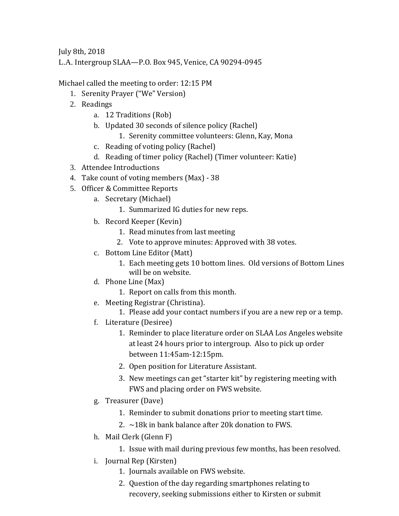July 8th, 2018

L.A. Intergroup SLAA—P.O. Box 945, Venice, CA 90294-0945

Michael called the meeting to order: 12:15 PM

- 1. Serenity Prayer ("We" Version)
- 2. Readings
	- a. 12 Traditions (Rob)
	- b. Updated 30 seconds of silence policy (Rachel)
		- 1. Serenity committee volunteers: Glenn, Kay, Mona
	- c. Reading of voting policy (Rachel)
	- d. Reading of timer policy (Rachel) (Timer volunteer: Katie)
- 3. Attendee Introductions
- 4. Take count of voting members (Max) 38
- 5. Officer & Committee Reports
	- a. Secretary (Michael)
		- 1. Summarized IG duties for new reps.
	- b. Record Keeper (Kevin)
		- 1. Read minutes from last meeting
		- 2. Vote to approve minutes: Approved with 38 votes.
	- c. Bottom Line Editor (Matt)
		- 1. Each meeting gets 10 bottom lines. Old versions of Bottom Lines will be on website.
	- d. Phone Line (Max)
		- 1. Report on calls from this month.
	- e. Meeting Registrar (Christina).
		- 1. Please add your contact numbers if you are a new rep or a temp.
	- f. Literature (Desiree)
		- 1. Reminder to place literature order on SLAA Los Angeles website at least 24 hours prior to intergroup. Also to pick up order between 11:45am-12:15pm.
		- 2. Open position for Literature Assistant.
		- 3. New meetings can get "starter kit" by registering meeting with FWS and placing order on FWS website.
	- g. Treasurer (Dave)
		- 1. Reminder to submit donations prior to meeting start time.
		- 2.  $\sim$ 18k in bank balance after 20k donation to FWS.
	- h. Mail Clerk (Glenn F)
		- 1. Issue with mail during previous few months, has been resolved.
	- i. Journal Rep (Kirsten)
		- 1. Journals available on FWS website.
		- 2. Question of the day regarding smartphones relating to recovery, seeking submissions either to Kirsten or submit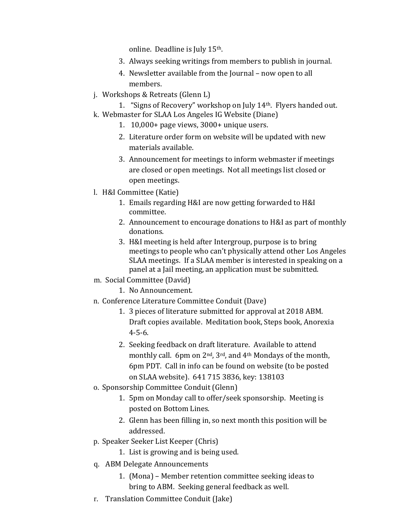online. Deadline is July 15th.

- 3. Always seeking writings from members to publish in journal.
- 4. Newsletter available from the Journal now open to all members.
- j. Workshops & Retreats (Glenn L)
- 1. "Signs of Recovery" workshop on July 14th. Flyers handed out. k. Webmaster for SLAA Los Angeles IG Website (Diane)
	- 1. 10,000+ page views, 3000+ unique users.
	- 2. Literature order form on website will be updated with new materials available.
	- 3. Announcement for meetings to inform webmaster if meetings are closed or open meetings. Not all meetings list closed or open meetings.
- l. H&I Committee (Katie)
	- 1. Emails regarding H&I are now getting forwarded to H&I committee.
	- 2. Announcement to encourage donations to H&I as part of monthly donations.
	- 3. H&I meeting is held after Intergroup, purpose is to bring meetings to people who can't physically attend other Los Angeles SLAA meetings. If a SLAA member is interested in speaking on a panel at a Jail meeting, an application must be submitted.
- m. Social Committee (David)
	- 1. No Announcement.
- n. Conference Literature Committee Conduit (Dave)
	- 1. 3 pieces of literature submitted for approval at 2018 ABM. Draft copies available. Meditation book, Steps book, Anorexia 4-5-6.
	- 2. Seeking feedback on draft literature. Available to attend monthly call. 6pm on 2nd, 3rd, and 4th Mondays of the month, 6pm PDT. Call in info can be found on website (to be posted on SLAA website). 641 715 3836, key: 138103
- o. Sponsorship Committee Conduit (Glenn)
	- 1. 5pm on Monday call to offer/seek sponsorship. Meeting is posted on Bottom Lines.
	- 2. Glenn has been filling in, so next month this position will be addressed.
- p. Speaker Seeker List Keeper (Chris)
	- 1. List is growing and is being used.
- q. ABM Delegate Announcements
	- 1. (Mona) Member retention committee seeking ideas to bring to ABM. Seeking general feedback as well.
- r. Translation Committee Conduit (Jake)